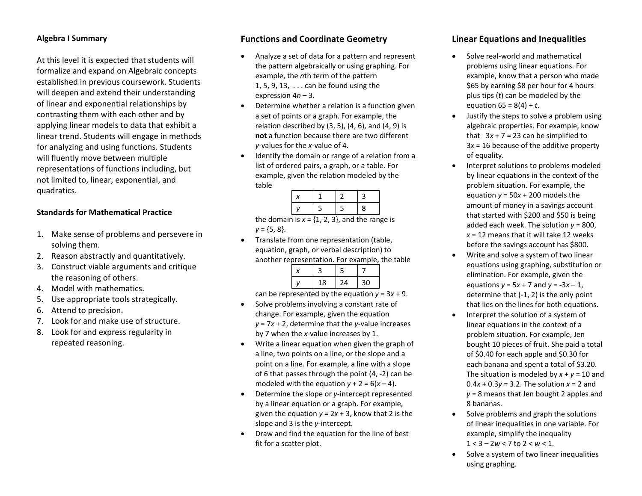## **Algebra I Summary**

At this level it is expected that students will formalize and expand on Algebraic concepts established in previous coursework. Students will deepen and extend their understanding of linear and exponential relationships by contrasting them with each other and by applying linear models to data that exhibit <sup>a</sup> linear trend. Students will engage in methods for analyzing and using functions. Students will fluently move between multiple representations of functions including, but not limited to, linear, exponential, and quadratics.

#### **Standards for Mathematical Practice**

- 1. Make sense of problems and persevere in solving them.
- 2. Reason abstractly and quantitatively.
- 3. Construct viable arguments and critique the reasoning of others.
- 4. Model with mathematics.
- 5. Use appropriate tools strategically.
- 6. Attend to precision.
- 7. Look for and make use of structure.
- 8. Look for and express regularity in repeated reasoning.

### **Functions and Coordinate Geometry**

- c Analyze <sup>a</sup> set of data for <sup>a</sup> pattern and represent the pattern algebraically or using graphing. For example, the *<sup>n</sup>*th term of the pattern 1, 5, 9, 13, . . . can be found using the expression 4*n* – 3.
- 0 Determine whether <sup>a</sup> relation is <sup>a</sup> function given a set of points or <sup>a</sup> graph. For example, the relation described by (3, 5), (4, 6), and (4, 9) is **not** a function because there are two different *y*‐values for the *<sup>x</sup>*‐value of 4.
- $\bullet$  Identify the domain or range of <sup>a</sup> relation from <sup>a</sup> list of ordered pairs, <sup>a</sup> graph, or <sup>a</sup> table. For example, given the relation modeled by the table

|  | . .<br>Ξ | ┑ | 8 |
|--|----------|---|---|

the domain is *x* <sup>=</sup> {1, 2, 3}, and the range is *y* <sup>=</sup> {5, 8}.

c Translate from one representation (table, equation, graph, or verbal description) to another representation. For example, the table

|    | ר  |    |
|----|----|----|
| 18 | 24 | 30 |

can be represented by the equation *y* <sup>=</sup> 3*<sup>x</sup>* <sup>+</sup> 9.

- 0 • Solve problems involving a constant rate of change. For example, given the equation *y* <sup>=</sup> 7*<sup>x</sup>* <sup>+</sup> 2, determine that the *y*‐value increases by 7 when the *<sup>x</sup>*‐value increases by 1.
- e Write <sup>a</sup> linear equation when given the graph of a line, two points on <sup>a</sup> line, or the slope and <sup>a</sup> point on <sup>a</sup> line. For example, <sup>a</sup> line with <sup>a</sup> slope of 6 that passes through the point (4, ‐2) can be modeled with the equation  $y + 2 = 6(x - 4)$ .
- $\bullet$ ● Determine the slope or *y*-intercept represented by <sup>a</sup> linear equation or <sup>a</sup> graph. For example, given the equation  $y = 2x + 3$ , know that 2 is the slope and 3 is the *y*‐intercept.
- 0 • Draw and find the equation for the line of best fit for a scatter plot.

## **Linear Equations and Inequalities**

- c ● Solve real-world and mathematical problems using linear equations. For example, know that <sup>a</sup> person who made \$65 by earning \$8 per hour for 4 hours plus tips (*t*) can be modeled by the equation 65 <sup>=</sup> 8(4) <sup>+</sup> *<sup>t</sup>*.
- c Justify the steps to solve <sup>a</sup> problem using algebraic properties. For example, know that 3*<sup>x</sup>* + 7 <sup>=</sup> 23 can be simplified to 3*x* <sup>=</sup> 16 because of the additive property of equality.
- c Interpret solutions to problems modeled by linear equations in the context of the problem situation. For example, the equation *y* <sup>=</sup> 50 *x* + 200 models the amount of money in <sup>a</sup> savings account that started with \$200 and \$50 is being added each week. The solution *y* <sup>=</sup> 800, *x* <sup>=</sup> 12 means that it will take 12 weeks before the savings account has \$800.
- e Write and solve <sup>a</sup> system of two linear equations using graphing, substitution or elimination. For example, given the equations *y* <sup>=</sup> 5*<sup>x</sup>* <sup>+</sup> 7 and *y* <sup>=</sup> ‐3*<sup>x</sup>* – 1, determine that (‐1, 2) is the only point that lies on the lines for both equations.
- c Interpret the solution of <sup>a</sup> system of linear equations in the context of <sup>a</sup> problem situation. For example, Jen bought 10 pieces of fruit. She paid <sup>a</sup> total of \$0.40 for each apple and \$0.30 for each banana and spent <sup>a</sup> total of \$3.20. The situation is modeled by *x* + *y* <sup>=</sup> 10 and 0.4*x* + 0.3*y* <sup>=</sup> 3.2. The solution *x* <sup>=</sup> 2 and*y* <sup>=</sup> 8 means that Jen bought 2 apples and 8 bananas.
- c • Solve problems and graph the solutions of linear inequalities in one variable. For example, simplify the inequality 1 <sup>&</sup>lt; 3 – 2*<sup>w</sup>* <sup>&</sup>lt; 7 to 2 <sup>&</sup>lt; *<sup>w</sup>* <sup>&</sup>lt; 1.
- c • Solve a system of two linear inequalities using graphing.